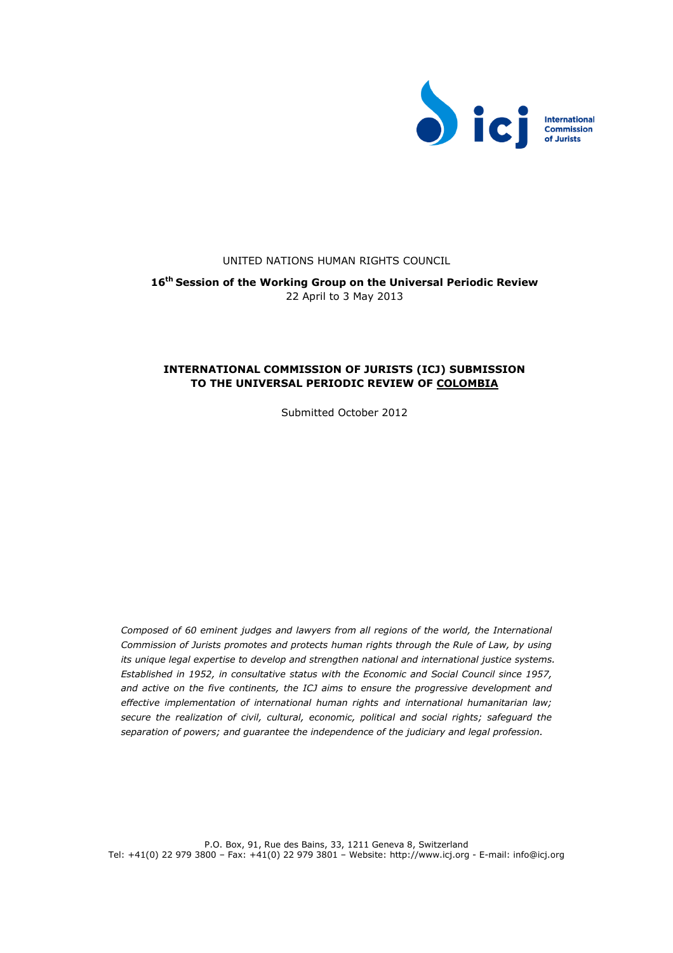

## UNITED NATIONS HUMAN RIGHTS COUNCIL

**16th Session of the Working Group on the Universal Periodic Review** 22 April to 3 May 2013

# **INTERNATIONAL COMMISSION OF JURISTS (ICJ) SUBMISSION TO THE UNIVERSAL PERIODIC REVIEW OF COLOMBIA**

Submitted October 2012

*Composed of 60 eminent judges and lawyers from all regions of the world, the International Commission of Jurists promotes and protects human rights through the Rule of Law, by using its unique legal expertise to develop and strengthen national and international justice systems. Established in 1952, in consultative status with the Economic and Social Council since 1957, and active on the five continents, the ICJ aims to ensure the progressive development and effective implementation of international human rights and international humanitarian law; secure the realization of civil, cultural, economic, political and social rights; safeguard the separation of powers; and guarantee the independence of the judiciary and legal profession.*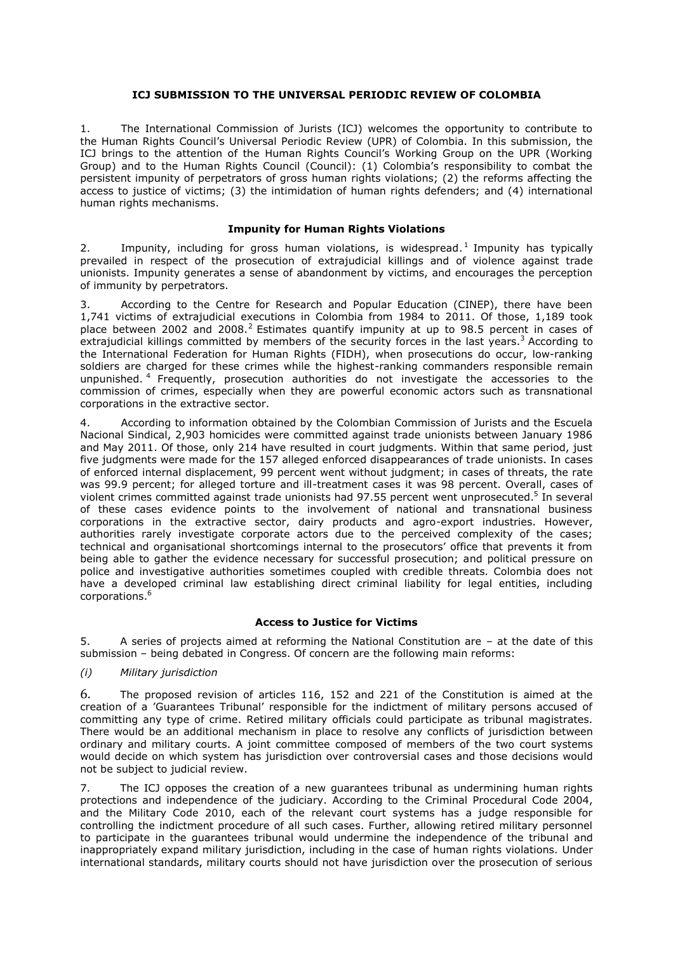## **ICJ SUBMISSION TO THE UNIVERSAL PERIODIC REVIEW OF COLOMBIA**

1. The International Commission of Jurists (ICJ) welcomes the opportunity to contribute to the Human Rights Council's Universal Periodic Review (UPR) of Colombia. In this submission, the ICJ brings to the attention of the Human Rights Council's Working Group on the UPR (Working Group) and to the Human Rights Council (Council): (1) Colombia's responsibility to combat the persistent impunity of perpetrators of gross human rights violations; (2) the reforms affecting the access to justice of victims; (3) the intimidation of human rights defenders; and (4) international human rights mechanisms.

## **Impunity for Human Rights Violations**

2. Impunity, including for gross human violations, is widespread.<sup>1</sup> Impunity has typically prevailed in respect of the prosecution of extrajudicial killings and of violence against trade unionists. Impunity generates a sense of abandonment by victims, and encourages the perception of immunity by perpetrators.

3. According to the Centre for Research and Popular Education (CINEP), there have been 1,741 victims of extrajudicial executions in Colombia from 1984 to 2011. Of those, 1,189 took place between 2002 and 2008.<sup>2</sup> Estimates quantify impunity at up to 98.5 percent in cases of extrajudicial killings committed by members of the security forces in the last years.<sup>3</sup> According to the International Federation for Human Rights (FIDH), when prosecutions do occur, low-ranking soldiers are charged for these crimes while the highest-ranking commanders responsible remain unpunished.<sup>4</sup> Frequently, prosecution authorities do not investigate the accessories to the commission of crimes, especially when they are powerful economic actors such as transnational corporations in the extractive sector.

4. According to information obtained by the Colombian Commission of Jurists and the Escuela Nacional Sindical, 2,903 homicides were committed against trade unionists between January 1986 and May 2011. Of those, only 214 have resulted in court judgments. Within that same period, just five judgments were made for the 157 alleged enforced disappearances of trade unionists. In cases of enforced internal displacement, 99 percent went without judgment; in cases of threats, the rate was 99.9 percent; for alleged torture and ill-treatment cases it was 98 percent. Overall, cases of violent crimes committed against trade unionists had 97.55 percent went unprosecuted.<sup>5</sup> In several of these cases evidence points to the involvement of national and transnational business corporations in the extractive sector, dairy products and agro-export industries. However, authorities rarely investigate corporate actors due to the perceived complexity of the cases; technical and organisational shortcomings internal to the prosecutors' office that prevents it from being able to gather the evidence necessary for successful prosecution; and political pressure on police and investigative authorities sometimes coupled with credible threats. Colombia does not have a developed criminal law establishing direct criminal liability for legal entities, including corporations.<sup>6</sup>

# **Access to Justice for Victims**

5. A series of projects aimed at reforming the National Constitution are – at the date of this submission – being debated in Congress. Of concern are the following main reforms:

*(i) Military jurisdiction* 

6. The proposed revision of articles 116, 152 and 221 of the Constitution is aimed at the creation of a 'Guarantees Tribunal' responsible for the indictment of military persons accused of committing any type of crime. Retired military officials could participate as tribunal magistrates. There would be an additional mechanism in place to resolve any conflicts of jurisdiction between ordinary and military courts. A joint committee composed of members of the two court systems would decide on which system has jurisdiction over controversial cases and those decisions would not be subject to judicial review.

7. The ICJ opposes the creation of a new guarantees tribunal as undermining human rights protections and independence of the judiciary. According to the Criminal Procedural Code 2004, and the Military Code 2010, each of the relevant court systems has a judge responsible for controlling the indictment procedure of all such cases. Further, allowing retired military personnel to participate in the guarantees tribunal would undermine the independence of the tribunal and inappropriately expand military jurisdiction, including in the case of human rights violations. Under international standards, military courts should not have jurisdiction over the prosecution of serious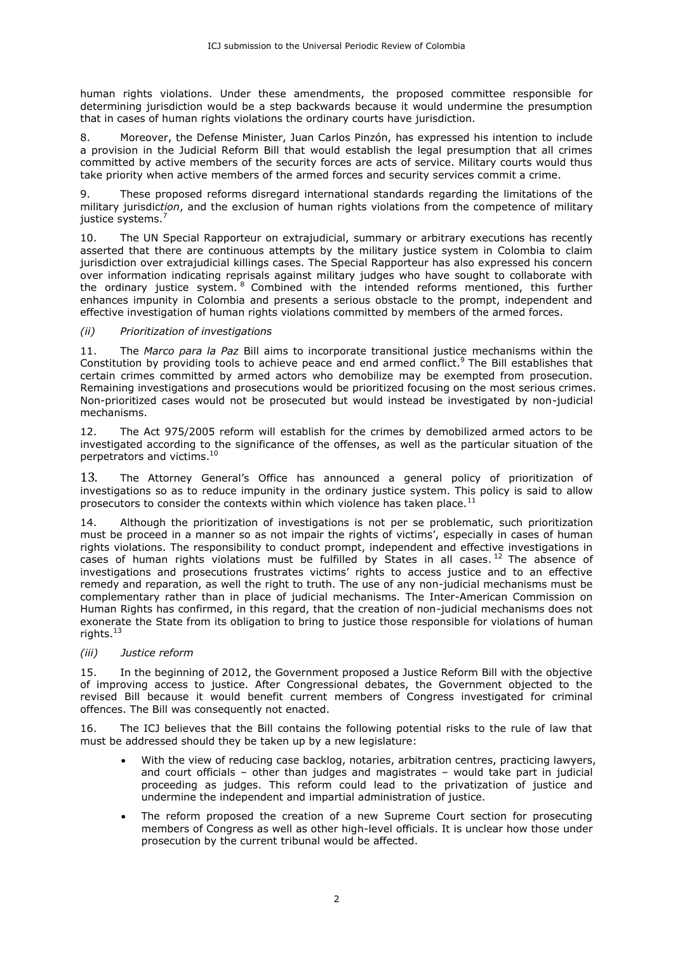human rights violations. Under these amendments, the proposed committee responsible for determining jurisdiction would be a step backwards because it would undermine the presumption that in cases of human rights violations the ordinary courts have jurisdiction.

8. Moreover, the Defense Minister, Juan Carlos Pinzón, has expressed his intention to include a provision in the Judicial Reform Bill that would establish the legal presumption that all crimes committed by active members of the security forces are acts of service. Military courts would thus take priority when active members of the armed forces and security services commit a crime.

9. These proposed reforms disregard international standards regarding the limitations of the military jurisdic*tion*, and the exclusion of human rights violations from the competence of military justice systems.<sup>7</sup>

10. The UN Special Rapporteur on extrajudicial, summary or arbitrary executions has recently asserted that there are continuous attempts by the military justice system in Colombia to claim jurisdiction over extrajudicial killings cases. The Special Rapporteur has also expressed his concern over information indicating reprisals against military judges who have sought to collaborate with the ordinary justice system. <sup>8</sup> Combined with the intended reforms mentioned, this further enhances impunity in Colombia and presents a serious obstacle to the prompt, independent and effective investigation of human rights violations committed by members of the armed forces.

## *(ii) Prioritization of investigations*

11. The *Marco para la Paz* Bill aims to incorporate transitional justice mechanisms within the Constitution by providing tools to achieve peace and end armed conflict.<sup>9</sup> The Bill establishes that certain crimes committed by armed actors who demobilize may be exempted from prosecution. Remaining investigations and prosecutions would be prioritized focusing on the most serious crimes. Non-prioritized cases would not be prosecuted but would instead be investigated by non-judicial mechanisms.

12. The Act 975/2005 reform will establish for the crimes by demobilized armed actors to be investigated according to the significance of the offenses, as well as the particular situation of the perpetrators and victims.<sup>10</sup>

13. The Attorney General's Office has announced a general policy of prioritization of investigations so as to reduce impunity in the ordinary justice system. This policy is said to allow prosecutors to consider the contexts within which violence has taken place.<sup>1</sup>

14. Although the prioritization of investigations is not per se problematic, such prioritization must be proceed in a manner so as not impair the rights of victims', especially in cases of human rights violations. The responsibility to conduct prompt, independent and effective investigations in cases of human rights violations must be fulfilled by States in all cases.<sup>12</sup> The absence of investigations and prosecutions frustrates victims' rights to access justice and to an effective remedy and reparation, as well the right to truth. The use of any non-judicial mechanisms must be complementary rather than in place of judicial mechanisms. The Inter-American Commission on Human Rights has confirmed, in this regard, that the creation of non-judicial mechanisms does not exonerate the State from its obligation to bring to justice those responsible for violations of human rights.<sup>13</sup>

## *(iii) Justice reform*

15. In the beginning of 2012, the Government proposed a Justice Reform Bill with the objective of improving access to justice. After Congressional debates, the Government objected to the revised Bill because it would benefit current members of Congress investigated for criminal offences. The Bill was consequently not enacted.

16. The ICJ believes that the Bill contains the following potential risks to the rule of law that must be addressed should they be taken up by a new legislature:

- With the view of reducing case backlog, notaries, arbitration centres, practicing lawyers, and court officials – other than judges and magistrates – would take part in judicial proceeding as judges. This reform could lead to the privatization of justice and undermine the independent and impartial administration of justice.
- The reform proposed the creation of a new Supreme Court section for prosecuting members of Congress as well as other high-level officials. It is unclear how those under prosecution by the current tribunal would be affected.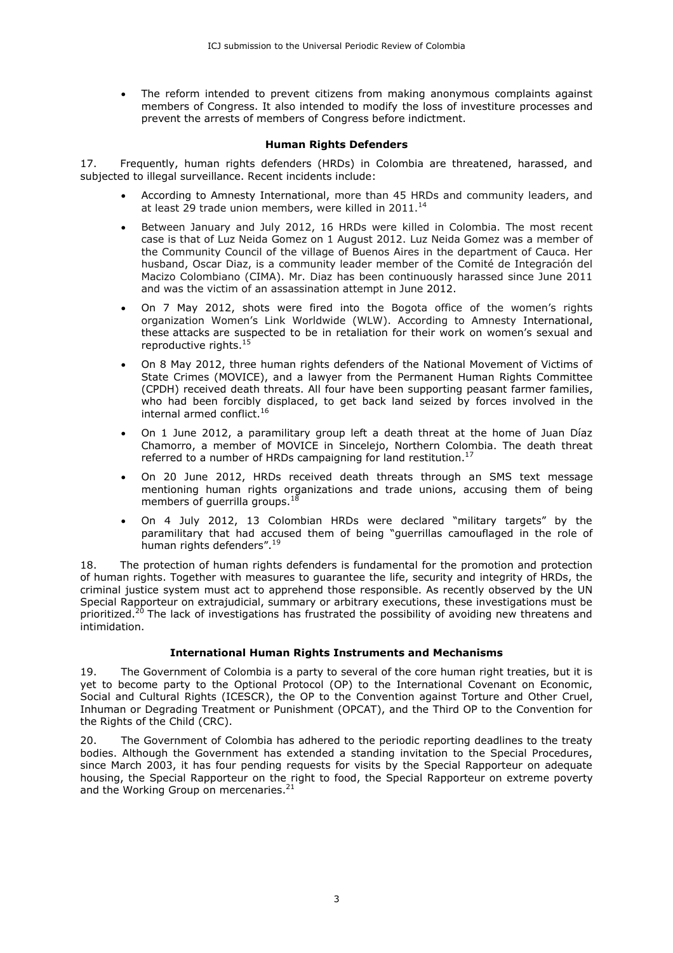The reform intended to prevent citizens from making anonymous complaints against members of Congress. It also intended to modify the loss of investiture processes and prevent the arrests of members of Congress before indictment.

## **Human Rights Defenders**

17. Frequently, human rights defenders (HRDs) in Colombia are threatened, harassed, and subjected to illegal surveillance. Recent incidents include:

- According to Amnesty International, more than 45 HRDs and community leaders, and at least 29 trade union members, were killed in  $2011.<sup>14</sup>$
- Between January and July 2012, 16 HRDs were killed in Colombia. The most recent case is that of Luz Neida Gomez on 1 August 2012. Luz Neida Gomez was a member of the Community Council of the village of Buenos Aires in the department of Cauca. Her husband, Oscar Diaz, is a community leader member of the Comité de Integración del Macizo Colombiano (CIMA). Mr. Diaz has been continuously harassed since June 2011 and was the victim of an assassination attempt in June 2012.
- On 7 May 2012, shots were fired into the Bogota office of the women's rights organization Women's Link Worldwide (WLW). According to Amnesty International, these attacks are suspected to be in retaliation for their work on women's sexual and reproductive rights.<sup>1!</sup>
- On 8 May 2012, three human rights defenders of the National Movement of Victims of State Crimes (MOVICE), and a lawyer from the Permanent Human Rights Committee (CPDH) received death threats. All four have been supporting peasant farmer families, who had been forcibly displaced, to get back land seized by forces involved in the internal armed conflict.<sup>16</sup>
- On 1 June 2012, a paramilitary group left a death threat at the home of Juan Díaz Chamorro, a member of MOVICE in Sincelejo, Northern Colombia. The death threat referred to a number of HRDs campaigning for land restitution.<sup>17</sup>
- On 20 June 2012, HRDs received death threats through an SMS text message mentioning human rights organizations and trade unions, accusing them of being members of guerrilla groups. $18$
- On 4 July 2012, 13 Colombian HRDs were declared "military targets" by the paramilitary that had accused them of being "guerrillas camouflaged in the role of human rights defenders".<sup>19</sup>

18. The protection of human rights defenders is fundamental for the promotion and protection of human rights. Together with measures to guarantee the life, security and integrity of HRDs, the criminal justice system must act to apprehend those responsible. As recently observed by the UN Special Rapporteur on extrajudicial, summary or arbitrary executions, these investigations must be prioritized.<sup>20</sup> The lack of investigations has frustrated the possibility of avoiding new threatens and intimidation.

# **International Human Rights Instruments and Mechanisms**

19. The Government of Colombia is a party to several of the core human right treaties, but it is yet to become party to the Optional Protocol (OP) to the International Covenant on Economic, Social and Cultural Rights (ICESCR), the OP to the Convention against Torture and Other Cruel, Inhuman or Degrading Treatment or Punishment (OPCAT), and the Third OP to the Convention for the Rights of the Child (CRC).

20. The Government of Colombia has adhered to the periodic reporting deadlines to the treaty bodies. Although the Government has extended a standing invitation to the Special Procedures, since March 2003, it has four pending requests for visits by the Special Rapporteur on adequate housing, the Special Rapporteur on the right to food, the Special Rapporteur on extreme poverty and the Working Group on mercenaries.<sup>21</sup>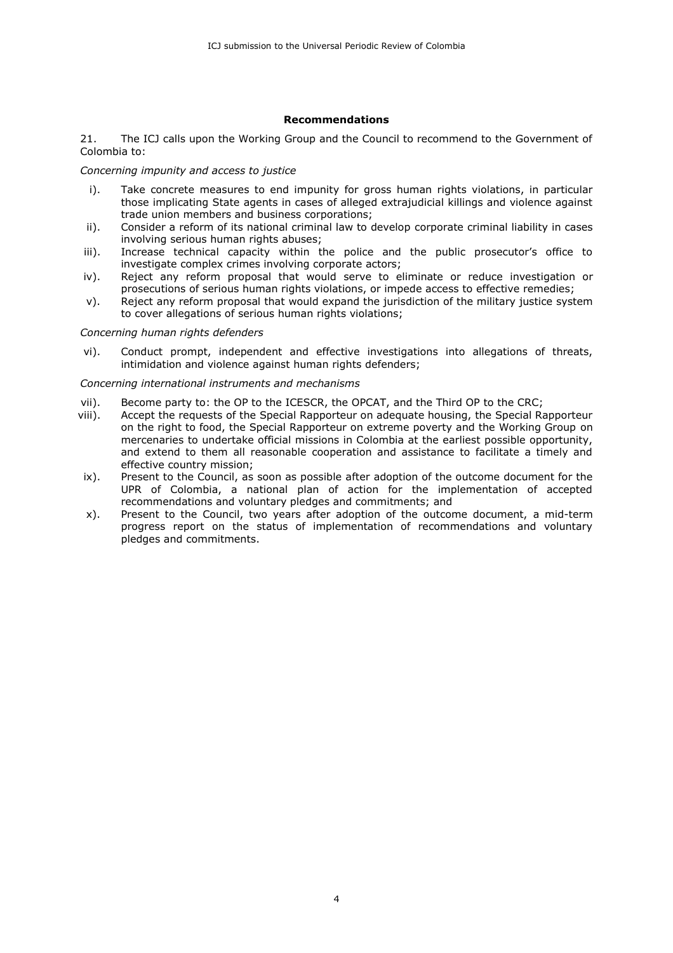### **Recommendations**

21. The ICJ calls upon the Working Group and the Council to recommend to the Government of Colombia to:

#### *Concerning impunity and access to justice*

- i). Take concrete measures to end impunity for gross human rights violations, in particular those implicating State agents in cases of alleged extrajudicial killings and violence against trade union members and business corporations;
- ii). Consider a reform of its national criminal law to develop corporate criminal liability in cases involving serious human rights abuses;
- iii). Increase technical capacity within the police and the public prosecutor's office to investigate complex crimes involving corporate actors;
- iv). Reject any reform proposal that would serve to eliminate or reduce investigation or prosecutions of serious human rights violations, or impede access to effective remedies;
- v). Reject any reform proposal that would expand the jurisdiction of the military justice system to cover allegations of serious human rights violations;

#### *Concerning human rights defenders*

vi). Conduct prompt, independent and effective investigations into allegations of threats, intimidation and violence against human rights defenders;

#### *Concerning international instruments and mechanisms*

- vii). Become party to: the OP to the ICESCR, the OPCAT, and the Third OP to the CRC;
- viii). Accept the requests of the Special Rapporteur on adequate housing, the Special Rapporteur on the right to food, the Special Rapporteur on extreme poverty and the Working Group on mercenaries to undertake official missions in Colombia at the earliest possible opportunity, and extend to them all reasonable cooperation and assistance to facilitate a timely and effective country mission;
- ix). Present to the Council, as soon as possible after adoption of the outcome document for the UPR of Colombia, a national plan of action for the implementation of accepted recommendations and voluntary pledges and commitments; and
- x). Present to the Council, two years after adoption of the outcome document, a mid-term progress report on the status of implementation of recommendations and voluntary pledges and commitments.